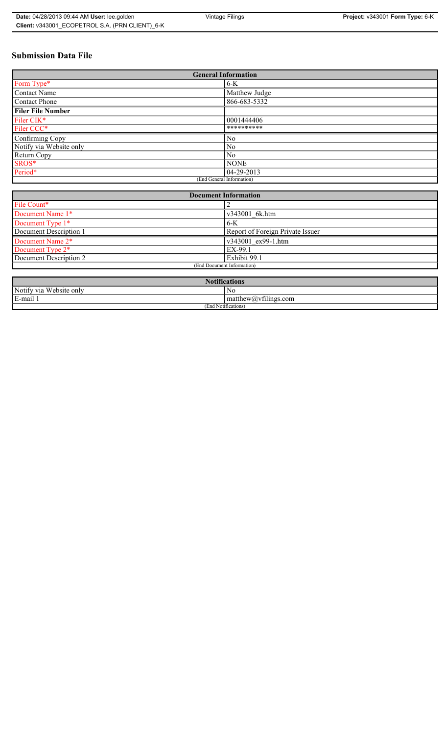# **Submission Data File**

| <b>General Information</b> |                |
|----------------------------|----------------|
| Form Type*                 | $6-K$          |
| Contact Name               | Matthew Judge  |
| Contact Phone              | 866-683-5332   |
| <b>Filer File Number</b>   |                |
| Filer CIK*                 | 0001444406     |
| Filer CCC*                 | **********     |
| Confirming Copy            | N <sub>0</sub> |
| Notify via Website only    | No             |
| Return Copy                | N <sub>0</sub> |
| SROS*                      | <b>NONE</b>    |
| Period*                    | $04-29-2013$   |
| (End General Information)  |                |

| <b>Document Information</b>  |                                  |
|------------------------------|----------------------------------|
| File Count*                  |                                  |
| Document Name 1*             | v343001 6k.htm                   |
| Document Type 1*             | $6-K$                            |
| Document Description 1       | Report of Foreign Private Issuer |
| Document Name 2*             | v343001 ex99-1.htm               |
| Document Type 2 <sup>*</sup> | EX-99.1                          |
| Document Description 2       | Exhibit 99.1                     |
| (End Document Information)   |                                  |
|                              |                                  |

| <b>Notifications</b>       |                                                |  |
|----------------------------|------------------------------------------------|--|
| Notify via<br>Website only | N0                                             |  |
| E-mail<br>$\blacksquare$   | $\sim$ 1.<br>matthew( <i>a</i> ), vtilings com |  |
| (End Notifications)        |                                                |  |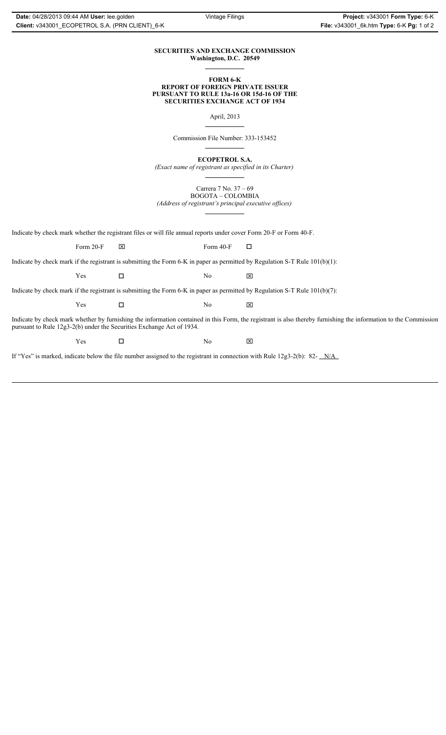### **SECURITIES AND EXCHANGE COMMISSION Washington, D.C. 20549**

### **FORM 6-K REPORT OF FOREIGN PRIVATE ISSUER PURSUANT TO RULE 13a-16 OR 15d-16 OF THE SECURITIES EXCHANGE ACT OF 1934**

April, 2013

Commission File Number: 333-153452

**ECOPETROL S.A.**

*(Exact name of registrant as specified in its Charter)*

Carrera 7 No. 37 – 69 BOGOTA – COLOMBIA

*(Address of registrant's principal executive offices)*

Indicate by check mark whether the registrant files or will file annual reports under cover Form 20-F or Form 40-F.

Form 20-F  $\boxtimes$  Form 40-F  $\Box$ 

Indicate by check mark if the registrant is submitting the Form 6-K in paper as permitted by Regulation S-T Rule 101(b)(1):

 $Yes$   $\Box$   $No$   $X$ 

Indicate by check mark if the registrant is submitting the Form 6-K in paper as permitted by Regulation S-T Rule 101(b)(7):

 $Yes$   $\Box$   $No$   $X$ 

Indicate by check mark whether by furnishing the information contained in this Form, the registrant is also thereby furnishing the information to the Commission pursuant to Rule 12g3-2(b) under the Securities Exchange Act of 1934.

 $Yes$   $\square$ 

If "Yes" is marked, indicate below the file number assigned to the registrant in connection with Rule 12g3-2(b): 82- N/A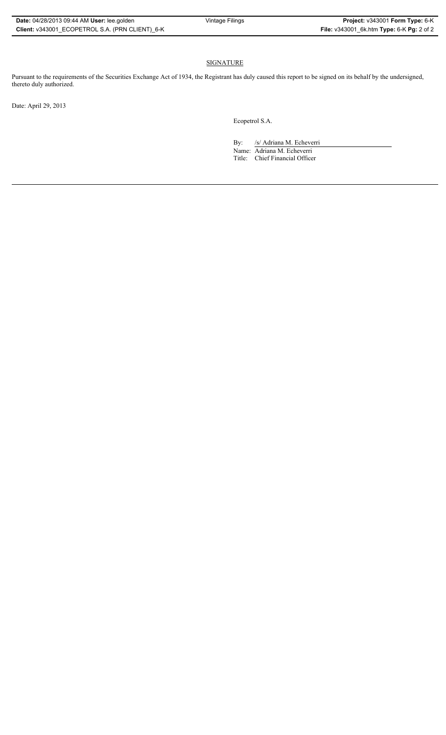## SIGNATURE

Pursuant to the requirements of the Securities Exchange Act of 1934, the Registrant has duly caused this report to be signed on its behalf by the undersigned, thereto duly authorized.

Date: April 29, 2013

Ecopetrol S.A.

By: /s/ Adriana M. Echeverri

Name: Adriana M. Echeverri Title: Chief Financial Officer